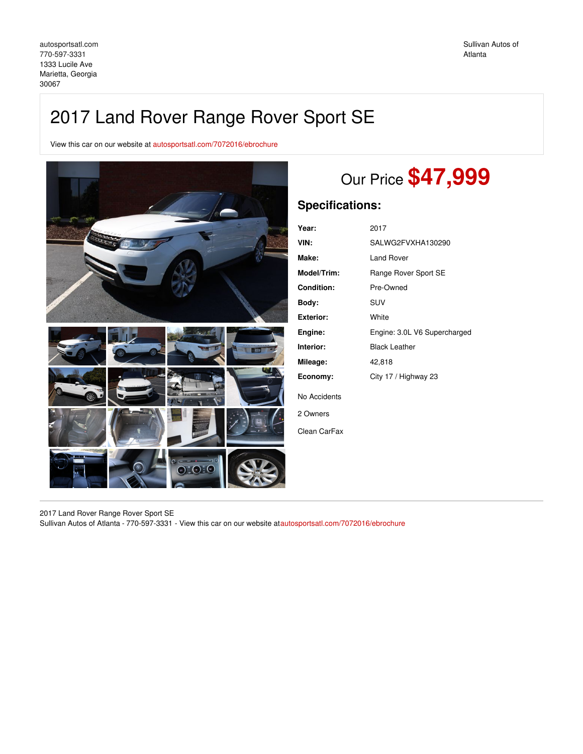# 2017 Land Rover Range Rover Sport SE

View this car on our website at [autosportsatl.com/7072016/ebrochure](https://autosportsatl.com/vehicle/7072016/2017-land-rover-range-rover-sport-se-marietta-georgia-30067/7072016/ebrochure)



# Our Price **\$47,999**

# **Specifications:**

| Year:              | 2017                         |
|--------------------|------------------------------|
| VIN:               | SALWG2FVXHA130290            |
| Make:              | Land Rover                   |
| <b>Model/Trim:</b> | Range Rover Sport SE         |
| <b>Condition:</b>  | Pre-Owned                    |
| Body:              | <b>SUV</b>                   |
| Exterior:          | White                        |
| Engine:            | Engine: 3.0L V6 Supercharged |
| Interior:          | <b>Black Leather</b>         |
| Mileage:           | 42,818                       |
| Economy:           | City 17 / Highway 23         |
| No Accidents       |                              |
| 2 Owners           |                              |
| Clean CarFax       |                              |
|                    |                              |

2017 Land Rover Range Rover Sport SE Sullivan Autos of Atlanta - 770-597-3331 - View this car on our website a[tautosportsatl.com/7072016/ebrochure](https://autosportsatl.com/vehicle/7072016/2017-land-rover-range-rover-sport-se-marietta-georgia-30067/7072016/ebrochure)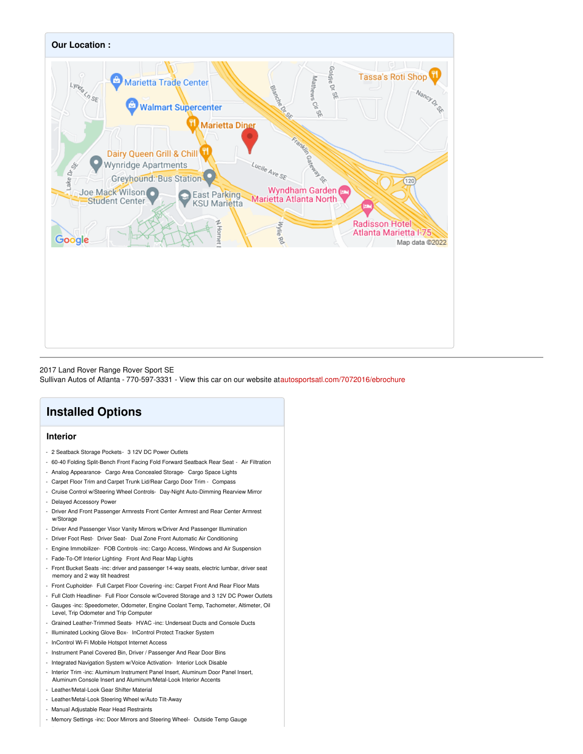

## 2017 Land Rover Range Rover Sport SE

Sullivan Autos of Atlanta - 770-597-3331 - View this car on our website a[tautosportsatl.com/7072016/ebrochure](https://autosportsatl.com/vehicle/7072016/2017-land-rover-range-rover-sport-se-marietta-georgia-30067/7072016/ebrochure)

# **Installed Options**

# **Interior**

- 2 Seatback Storage Pockets- 3 12V DC Power Outlets
- 60-40 Folding Split-Bench Front Facing Fold Forward Seatback Rear Seat Air Filtration
- Analog Appearance- Cargo Area Concealed Storage- Cargo Space Lights
- Carpet Floor Trim and Carpet Trunk Lid/Rear Cargo Door Trim Compass
- Cruise Control w/Steering Wheel Controls- Day-Night Auto-Dimming Rearview Mirror
- Delayed Accessory Power
- Driver And Front Passenger Armrests Front Center Armrest and Rear Center Armrest w/Storage
- Driver And Passenger Visor Vanity Mirrors w/Driver And Passenger Illumination
- Driver Foot Rest- Driver Seat- Dual Zone Front Automatic Air Conditioning
- Engine Immobilizer- FOB Controls -inc: Cargo Access, Windows and Air Suspension
- Fade-To-Off Interior Lighting- Front And Rear Map Lights
- Front Bucket Seats -inc: driver and passenger 14-way seats, electric lumbar, driver seat memory and 2 way tilt headrest
- Front Cupholder- Full Carpet Floor Covering -inc: Carpet Front And Rear Floor Mats
- Full Cloth Headliner- Full Floor Console w/Covered Storage and 3 12V DC Power Outlets - Gauges -inc: Speedometer, Odometer, Engine Coolant Temp, Tachometer, Altimeter, Oil
- Level, Trip Odometer and Trip Computer
- Grained Leather-Trimmed Seats- HVAC -inc: Underseat Ducts and Console Ducts
- Illuminated Locking Glove Box- InControl Protect Tracker System
- InControl Wi-Fi Mobile Hotspot Internet Access
- Instrument Panel Covered Bin, Driver / Passenger And Rear Door Bins
- Integrated Navigation System w/Voice Activation- Interior Lock Disable
- Interior Trim -inc: Aluminum Instrument Panel Insert, Aluminum Door Panel Insert, Aluminum Console Insert and Aluminum/Metal-Look Interior Accents
- Leather/Metal-Look Gear Shifter Material
- Leather/Metal-Look Steering Wheel w/Auto Tilt-Away
- Manual Adjustable Rear Head Restraints
- Memory Settings -inc: Door Mirrors and Steering Wheel- Outside Temp Gauge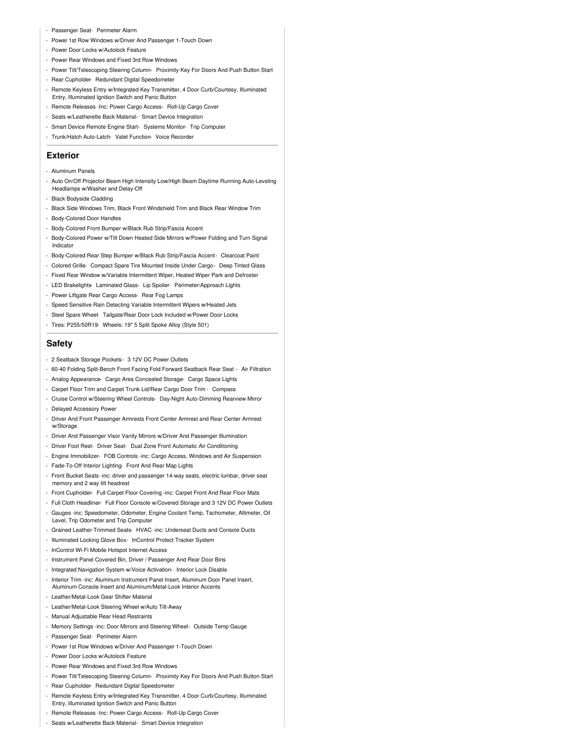#### - Passenger Seat- Perimeter Alarm

- Power 1st Row Windows w/Driver And Passenger 1-Touch Down
- Power Door Locks w/Autolock Feature
- Power Rear Windows and Fixed 3rd Row Windows
- Power Tilt/Telescoping Steering Column- Proximity Key For Doors And Push Button Start
- Rear Cupholder- Redundant Digital Speedometer
- Remote Keyless Entry w/Integrated Key Transmitter, 4 Door Curb/Courtesy, Illuminated Entry, Illuminated Ignition Switch and Panic Button
- Remote Releases -Inc: Power Cargo Access- Roll-Up Cargo Cover
- Seats w/Leatherette Back Material- Smart Device Integration
- Smart Device Remote Engine Start- Systems Monitor- Trip Computer
- Trunk/Hatch Auto-Latch- Valet Function- Voice Recorder

## **Exterior**

- Aluminum Panels
- Auto On/Off Projector Beam High Intensity Low/High Beam Daytime Running Auto-Leveling Headlamps w/Washer and Delay-Off
- Black Bodyside Cladding
- Black Side Windows Trim, Black Front Windshield Trim and Black Rear Window Trim
- Body-Colored Door Handles
- Body-Colored Front Bumper w/Black Rub Strip/Fascia Accent
- Body-Colored Power w/Tilt Down Heated Side Mirrors w/Power Folding and Turn Signal Indicator
- Body-Colored Rear Step Bumper w/Black Rub Strip/Fascia Accent- Clearcoat Paint
- Colored Grille- Compact Spare Tire Mounted Inside Under Cargo- Deep Tinted Glass
- Fixed Rear Window w/Variable Intermittent Wiper, Heated Wiper Park and Defroster
- LED Brakelights- Laminated Glass- Lip Spoiler- Perimeter/Approach Lights
- Power Liftgate Rear Cargo Access- Rear Fog Lamps
- Speed Sensitive Rain Detecting Variable Intermittent Wipers w/Heated Jets
- Steel Spare Wheel- Tailgate/Rear Door Lock Included w/Power Door Locks
- Tires: P255/50R19- Wheels: 19" 5 Split Spoke Alloy (Style 501)

### **Safety**

- 2 Seatback Storage Pockets- 3 12V DC Power Outlets
- 60-40 Folding Split-Bench Front Facing Fold Forward Seatback Rear Seat Air Filtration
- Analog Appearance- Cargo Area Concealed Storage- Cargo Space Lights
- Carpet Floor Trim and Carpet Trunk Lid/Rear Cargo Door Trim Compass
- Cruise Control w/Steering Wheel Controls- Day-Night Auto-Dimming Rearview Mirror
- Delayed Accessory Power
- Driver And Front Passenger Armrests Front Center Armrest and Rear Center Armrest w/Storage
- Driver And Passenger Visor Vanity Mirrors w/Driver And Passenger Illumination
- Driver Foot Rest- Driver Seat- Dual Zone Front Automatic Air Conditioning
- Engine Immobilizer- FOB Controls -inc: Cargo Access, Windows and Air Suspension
- Fade-To-Off Interior Lighting- Front And Rear Map Lights
- Front Bucket Seats -inc: driver and passenger 14-way seats, electric lumbar, driver seat memory and 2 way tilt headrest
- Front Cupholder- Full Carpet Floor Covering -inc: Carpet Front And Rear Floor Mats
- Full Cloth Headliner- Full Floor Console w/Covered Storage and 3 12V DC Power Outlets
- Gauges -inc: Speedometer, Odometer, Engine Coolant Temp, Tachometer, Altimeter, Oil Level, Trip Odometer and Trip Computer
- Grained Leather-Trimmed Seats- HVAC -inc: Underseat Ducts and Console Ducts
- Illuminated Locking Glove Box- InControl Protect Tracker System
- InControl Wi-Fi Mobile Hotspot Internet Access
- Instrument Panel Covered Bin, Driver / Passenger And Rear Door Bins
- Integrated Navigation System w/Voice Activation- Interior Lock Disable
- Interior Trim -inc: Aluminum Instrument Panel Insert, Aluminum Door Panel Insert, Aluminum Console Insert and Aluminum/Metal-Look Interior Accents
- Leather/Metal-Look Gear Shifter Material
- Leather/Metal-Look Steering Wheel w/Auto Tilt-Away
- Manual Adjustable Rear Head Restraints
- Memory Settings -inc: Door Mirrors and Steering Wheel- Outside Temp Gauge
- Passenger Seat- Perimeter Alarm
- Power 1st Row Windows w/Driver And Passenger 1-Touch Down
- Power Door Locks w/Autolock Feature
- Power Rear Windows and Fixed 3rd Row Windows
- Power Tilt/Telescoping Steering Column- Proximity Key For Doors And Push Button Start
- Rear Cupholder- Redundant Digital Speedometer
- Remote Keyless Entry w/Integrated Key Transmitter, 4 Door Curb/Courtesy, Illuminated Entry, Illuminated Ignition Switch and Panic Button
- Remote Releases -Inc: Power Cargo Access- Roll-Up Cargo Cover
- Seats w/Leatherette Back Material- Smart Device Integration